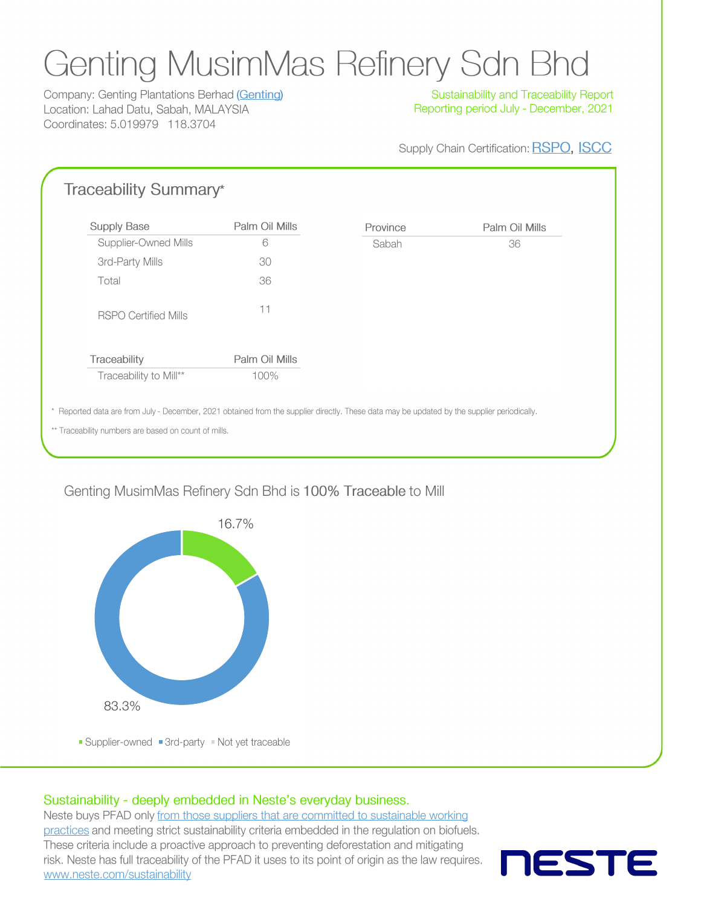# Genting MusimMas Refinery Sdn Bhd

Company: Genting Plantations Berhad (Genting) Location: Lahad Datu, Sabah, MALAYSIA Coordinates: 5.019979 118.3704

Sustainability and Traceability Report Reporting period July - December, 2021

Supply Chain Certification: RSPO, ISCC

| Supply Base                 | Palm Oil Mills | Province | Palm Oil Mills |
|-----------------------------|----------------|----------|----------------|
| Supplier-Owned Mills        | 6              | Sabah    | 36             |
| 3rd-Party Mills             | 30             |          |                |
| Total                       | 36             |          |                |
| <b>RSPO Certified Mills</b> | 11             |          |                |
| Traceability                | Palm Oil Mills |          |                |
| Traceability to Mill**      | 100%           |          |                |

### Genting MusimMas Refinery Sdn Bhd is 100% Traceable to Mill



## Supplier-owned Srd-party Not yet traceable

#### Sustainability - deeply embedded in Neste's everyday business.

Neste buys PFAD only from those suppliers that are committed to sustainable working practices and meeting strict sustainability criteria embedded in the regulation on biofuels. These criteria include a proactive approach to preventing deforestation and mitigating risk. Neste has full traceability of the PFAD it uses to its point of origin as the law requires. www.neste.com/sustainability

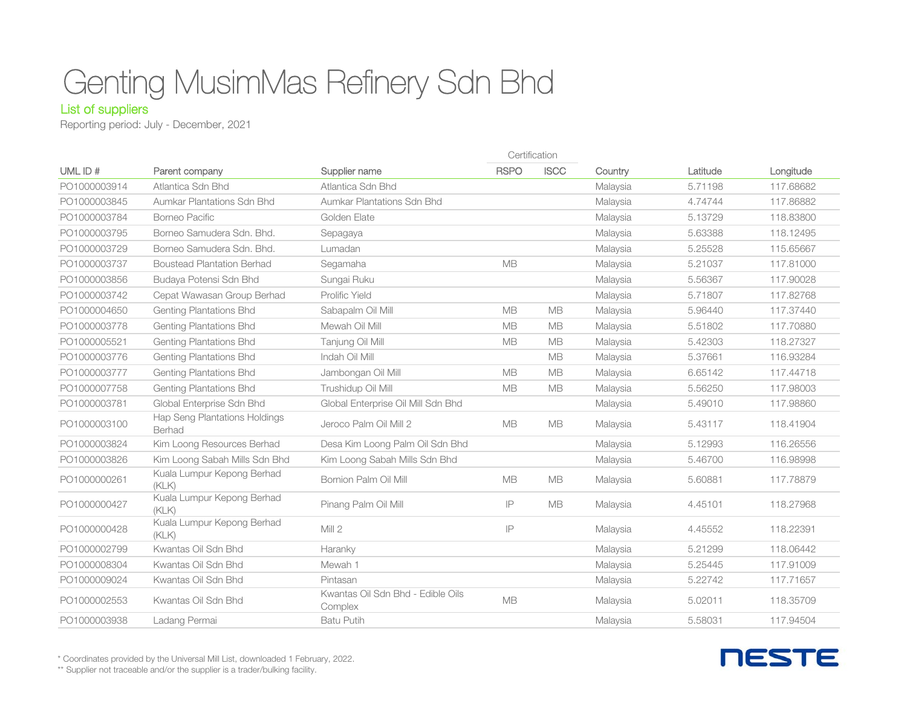# Genting MusimMas Refinery Sdn Bhd

#### List of suppliers

Reporting period: July - December, 2021

|              |                                         |                                              | Certification |             |          |          |           |
|--------------|-----------------------------------------|----------------------------------------------|---------------|-------------|----------|----------|-----------|
| UML ID#      | Parent company                          | Supplier name                                | <b>RSPO</b>   | <b>ISCC</b> | Country  | Latitude | Longitude |
| PO1000003914 | Atlantica Sdn Bhd                       | Atlantica Sdn Bhd                            |               |             | Malaysia | 5.71198  | 117,68682 |
| PO1000003845 | Aumkar Plantations Sdn Bhd              | Aumkar Plantations Sdn Bhd                   |               |             | Malaysia | 4.74744  | 117.86882 |
| PO1000003784 | <b>Borneo Pacific</b>                   | Golden Elate                                 |               |             | Malaysia | 5.13729  | 118,83800 |
| PO1000003795 | Borneo Samudera Sdn. Bhd.               | Sepagaya                                     |               |             | Malaysia | 5.63388  | 118.12495 |
| PO1000003729 | Borneo Samudera Sdn. Bhd.               | Lumadan                                      |               |             | Malaysia | 5.25528  | 115,65667 |
| PO1000003737 | <b>Boustead Plantation Berhad</b>       | Segamaha                                     | <b>MB</b>     |             | Malaysia | 5.21037  | 117,81000 |
| PO1000003856 | Budaya Potensi Sdn Bhd                  | Sungai Ruku                                  |               |             | Malaysia | 5.56367  | 117,90028 |
| PO1000003742 | Cepat Wawasan Group Berhad              | Prolific Yield                               |               |             | Malaysia | 5.71807  | 117,82768 |
| PO1000004650 | <b>Genting Plantations Bhd</b>          | Sabapalm Oil Mill                            | <b>MB</b>     | <b>MB</b>   | Malaysia | 5.96440  | 117.37440 |
| PO1000003778 | Genting Plantations Bhd                 | Mewah Oil Mill                               | <b>MB</b>     | <b>MB</b>   | Malaysia | 5.51802  | 117.70880 |
| PO1000005521 | Genting Plantations Bhd                 | Tanjung Oil Mill                             | <b>MB</b>     | <b>MB</b>   | Malaysia | 5.42303  | 118.27327 |
| PO1000003776 | Genting Plantations Bhd                 | Indah Oil Mill                               |               | <b>MB</b>   | Malaysia | 5.37661  | 116.93284 |
| PO1000003777 | Genting Plantations Bhd                 | Jambongan Oil Mill                           | MB            | <b>MB</b>   | Malaysia | 6.65142  | 117,44718 |
| PO1000007758 | Genting Plantations Bhd                 | Trushidup Oil Mill                           | <b>MB</b>     | <b>MB</b>   | Malaysia | 5.56250  | 117.98003 |
| PO1000003781 | Global Enterprise Sdn Bhd               | Global Enterprise Oil Mill Sdn Bhd           |               |             | Malaysia | 5.49010  | 117,98860 |
| PO1000003100 | Hap Seng Plantations Holdings<br>Berhad | Jeroco Palm Oil Mill 2                       | <b>MB</b>     | <b>MB</b>   | Malaysia | 5.43117  | 118,41904 |
| PO1000003824 | Kim Loong Resources Berhad              | Desa Kim Loong Palm Oil Sdn Bhd              |               |             | Malaysia | 5.12993  | 116.26556 |
| PO1000003826 | Kim Loong Sabah Mills Sdn Bhd           | Kim Loong Sabah Mills Sdn Bhd                |               |             | Malaysia | 5.46700  | 116,98998 |
| PO1000000261 | Kuala Lumpur Kepong Berhad<br>(KLK)     | Bornion Palm Oil Mill                        | MB            | <b>MB</b>   | Malaysia | 5.60881  | 117.78879 |
| PO1000000427 | Kuala Lumpur Kepong Berhad<br>(KLK)     | Pinang Palm Oil Mill                         | IP            | <b>MB</b>   | Malaysia | 4.45101  | 118.27968 |
| PO1000000428 | Kuala Lumpur Kepong Berhad<br>(KLK)     | Mill2                                        | IP            |             | Malaysia | 4.45552  | 118.22391 |
| PO1000002799 | Kwantas Oil Sdn Bhd                     | Haranky                                      |               |             | Malaysia | 5.21299  | 118.06442 |
| PO1000008304 | Kwantas Oil Sdn Bhd                     | Mewah 1                                      |               |             | Malaysia | 5.25445  | 117.91009 |
| PO1000009024 | Kwantas Oil Sdn Bhd                     | Pintasan                                     |               |             | Malaysia | 5.22742  | 117.71657 |
| PO1000002553 | Kwantas Oil Sdn Bhd                     | Kwantas Oil Sdn Bhd - Edible Oils<br>Complex | <b>MB</b>     |             | Malaysia | 5.02011  | 118,35709 |
| PO1000003938 | Ladang Permai                           | <b>Batu Putih</b>                            |               |             | Malaysia | 5.58031  | 117.94504 |

**NESTE** 

\* Coordinates provided by the Universal Mill List, downloaded 1 February, 2022.

\*\* Supplier not traceable and/or the supplier is a trader/bulking facility.